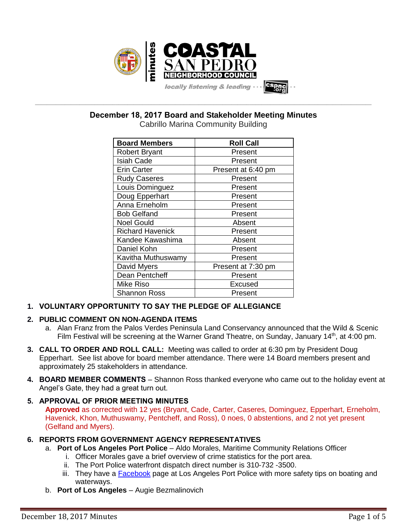

**\_\_\_\_\_\_\_\_\_\_\_\_\_\_\_\_\_\_\_\_\_\_\_\_\_\_\_\_\_\_\_\_\_\_\_\_\_\_\_\_\_\_\_\_\_\_\_\_\_\_\_\_\_\_\_\_\_\_\_\_\_\_\_\_\_\_\_\_\_\_\_\_\_\_\_\_\_\_\_\_\_\_\_\_\_\_\_\_\_\_\_\_\_\_\_\_\_\_\_\_\_\_\_\_\_\_\_\_\_\_\_\_\_ December 18, 2017 Board and Stakeholder Meeting Minutes**

| <b>Board Members</b>    | <b>Roll Call</b>   |
|-------------------------|--------------------|
| <b>Robert Bryant</b>    | Present            |
| <b>Isiah Cade</b>       | Present            |
| <b>Erin Carter</b>      | Present at 6:40 pm |
| <b>Rudy Caseres</b>     | Present            |
| Louis Dominguez         | Present            |
| Doug Epperhart          | Present            |
| Anna Erneholm           | Present            |
| <b>Bob Gelfand</b>      | Present            |
| <b>Noel Gould</b>       | Absent             |
| <b>Richard Havenick</b> | Present            |
| Kandee Kawashima        | Absent             |
| Daniel Kohn             | Present            |
| Kavitha Muthuswamy      | Present            |
| David Myers             | Present at 7:30 pm |
| Dean Pentcheff          | Present            |
| <b>Mike Riso</b>        | Excused            |
| <b>Shannon Ross</b>     | Present            |

# **1. VOLUNTARY OPPORTUNITY TO SAY THE PLEDGE OF ALLEGIANCE**

# **2. PUBLIC COMMENT ON NON-AGENDA ITEMS**

- a. Alan Franz from the Palos Verdes Peninsula Land Conservancy announced that the Wild & Scenic Film Festival will be screening at the Warner Grand Theatre, on Sunday, January 14<sup>th</sup>, at 4:00 pm.
- **3. CALL TO ORDER AND ROLL CALL:** Meeting was called to order at 6:30 pm by President Doug Epperhart. See list above for board member attendance. There were 14 Board members present and approximately 25 stakeholders in attendance.
- **4. BOARD MEMBER COMMENTS** Shannon Ross thanked everyone who came out to the holiday event at Angel's Gate, they had a great turn out.

# **5. APPROVAL OF PRIOR MEETING MINUTES**

**Approved** as corrected with 12 yes (Bryant, Cade, Carter, Caseres, Dominguez, Epperhart, Erneholm, Havenick, Khon, Muthuswamy, Pentcheff, and Ross), 0 noes, 0 abstentions, and 2 not yet present (Gelfand and Myers).

# **6. REPORTS FROM GOVERNMENT AGENCY REPRESENTATIVES**

- a. **Port of Los Angeles Port Police** Aldo Morales, Maritime Community Relations Officer
	- i. Officer Morales gave a brief overview of crime statistics for the port area.
	- ii. The Port Police waterfront dispatch direct number is 310-732 -3500.
	- iii. They have a [Facebook](https://www.facebook.com/LAPortPolice/) page at Los Angeles Port Police with more safety tips on boating and waterways.
- b. **Port of Los Angeles** Augie Bezmalinovich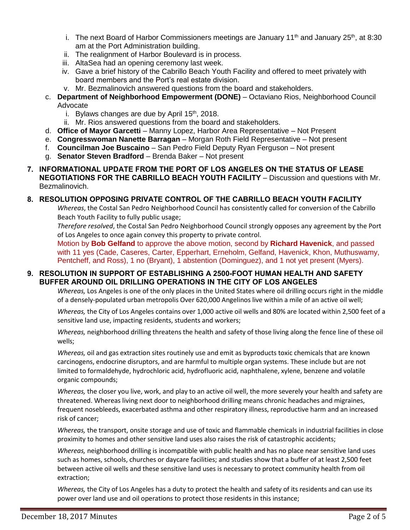- i. The next Board of Harbor Commissioners meetings are January  $11<sup>th</sup>$  and January  $25<sup>th</sup>$ , at 8:30 am at the Port Administration building.
- ii. The realignment of Harbor Boulevard is in process.
- iii. AltaSea had an opening ceremony last week.
- iv. Gave a brief history of the Cabrillo Beach Youth Facility and offered to meet privately with board members and the Port's real estate division.
- v. Mr. Bezmalinovich answered questions from the board and stakeholders.
- c. **Department of Neighborhood Empowerment (DONE)** Octaviano Rios, Neighborhood Council Advocate
	- i. Bylaws changes are due by April  $15<sup>th</sup>$ , 2018.
	- ii. Mr. Rios answered questions from the board and stakeholders.
- d. **Office of Mayor Garcetti** Manny Lopez, Harbor Area Representative Not Present
- e. **Congresswoman Nanette Barragan** Morgan Roth Field Representative Not present
- f. **Councilman Joe Buscaino** San Pedro Field Deputy Ryan Ferguson Not present
- g. **Senator Steven Bradford** Brenda Baker Not present
- **7. INFORMATIONAL UPDATE FROM THE PORT OF LOS ANGELES ON THE STATUS OF LEASE NEGOTIATIONS FOR THE CABRILLO BEACH YOUTH FACILITY** – Discussion and questions with Mr. Bezmalinovich.

## **8. RESOLUTION OPPOSING PRIVATE CONTROL OF THE CABRILLO BEACH YOUTH FACILITY**

*Whereas*, the Costal San Pedro Neighborhood Council has consistently called for conversion of the Cabrillo Beach Youth Facility to fully public usage;

*Therefore resolved*, the Costal San Pedro Neighborhood Council strongly opposes any agreement by the Port of Los Angeles to once again convey this property to private control.

Motion by **Bob Gelfand** to approve the above motion, second by **Richard Havenick**, and passed with 11 yes (Cade, Caseres, Carter, Epperhart, Erneholm, Gelfand, Havenick, Khon, Muthuswamy, Pentcheff, and Ross), 1 no (Bryant), 1 abstention (Dominguez), and 1 not yet present (Myers).

## **9. RESOLUTION IN SUPPORT OF ESTABLISHING A 2500-FOOT HUMAN HEALTH AND SAFETY BUFFER AROUND OIL DRILLING OPERATIONS IN THE CITY OF LOS ANGELES**

*Whereas,* Los Angeles is one of the only places in the United States where oil drilling occurs right in the middle of a densely-populated urban metropolis Over 620,000 Angelinos live within a mile of an active oil well;

*Whereas,* the City of Los Angeles contains over 1,000 active oil wells and 80% are located within 2,500 feet of a sensitive land use, impacting residents, students and workers;

*Whereas,* neighborhood drilling threatens the health and safety of those living along the fence line of these oil wells;

*Whereas,* oil and gas extraction sites routinely use and emit as byproducts toxic chemicals that are known carcinogens, endocrine disruptors, and are harmful to multiple organ systems. These include but are not limited to formaldehyde, hydrochloric acid, hydrofluoric acid, naphthalene, xylene, benzene and volatile organic compounds;

*Whereas,* the closer you live, work, and play to an active oil well, the more severely your health and safety are threatened. Whereas living next door to neighborhood drilling means chronic headaches and migraines, frequent nosebleeds, exacerbated asthma and other respiratory illness, reproductive harm and an increased risk of cancer;

*Whereas,* the transport, onsite storage and use of toxic and flammable chemicals in industrial facilities in close proximity to homes and other sensitive land uses also raises the risk of catastrophic accidents;

*Whereas,* neighborhood drilling is incompatible with public health and has no place near sensitive land uses such as homes, schools, churches or daycare facilities; and studies show that a buffer of at least 2,500 feet between active oil wells and these sensitive land uses is necessary to protect community health from oil extraction;

*Whereas,* the City of Los Angeles has a duty to protect the health and safety of its residents and can use its power over land use and oil operations to protect those residents in this instance;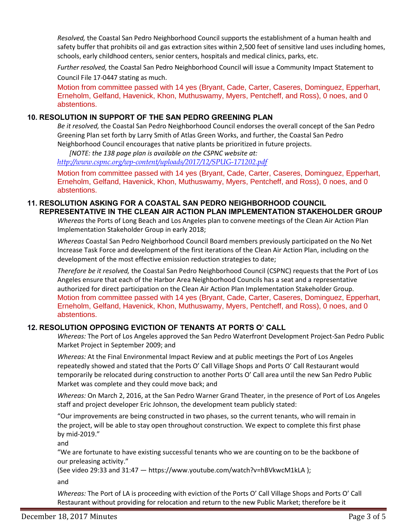*Resolved,* the Coastal San Pedro Neighborhood Council supports the establishment of a human health and safety buffer that prohibits oil and gas extraction sites within 2,500 feet of sensitive land uses including homes, schools, early childhood centers, senior centers, hospitals and medical clinics, parks, etc.

*Further resolved,* the Coastal San Pedro Neighborhood Council will issue a Community Impact Statement to Council File 17-0447 stating as much.

Motion from committee passed with 14 yes (Bryant, Cade, Carter, Caseres, Dominguez, Epperhart, Erneholm, Gelfand, Havenick, Khon, Muthuswamy, Myers, Pentcheff, and Ross), 0 noes, and 0 abstentions.

## **10. RESOLUTION IN SUPPORT OF THE SAN PEDRO GREENING PLAN**

*Be it resolved,* the Coastal San Pedro Neighborhood Council endorses the overall concept of the San Pedro Greening Plan set forth by Larry Smith of Atlas Green Works, and further, the Coastal San Pedro Neighborhood Council encourages that native plants be prioritized in future projects.

*[NOTE: the 138 page plan is available on the CSPNC website at: <http://www.cspnc.org/wp-content/uploads/2017/12/SPUG-171202.pdf>*

Motion from committee passed with 14 yes (Bryant, Cade, Carter, Caseres, Dominguez, Epperhart, Erneholm, Gelfand, Havenick, Khon, Muthuswamy, Myers, Pentcheff, and Ross), 0 noes, and 0 abstentions.

## **11. RESOLUTION ASKING FOR A COASTAL SAN PEDRO NEIGHBORHOOD COUNCIL REPRESENTATIVE IN THE CLEAN AIR ACTION PLAN IMPLEMENTATION STAKEHOLDER GROUP**

*Whereas* the Ports of Long Beach and Los Angeles plan to convene meetings of the Clean Air Action Plan Implementation Stakeholder Group in early 2018;

*Whereas* Coastal San Pedro Neighborhood Council Board members previously participated on the No Net Increase Task Force and development of the first iterations of the Clean Air Action Plan, including on the development of the most effective emission reduction strategies to date;

*Therefore be it resolved,* the Coastal San Pedro Neighborhood Council (CSPNC) requests that the Port of Los Angeles ensure that each of the Harbor Area Neighborhood Councils has a seat and a representative authorized for direct participation on the Clean Air Action Plan Implementation Stakeholder Group. Motion from committee passed with 14 yes (Bryant, Cade, Carter, Caseres, Dominguez, Epperhart, Erneholm, Gelfand, Havenick, Khon, Muthuswamy, Myers, Pentcheff, and Ross), 0 noes, and 0 abstentions.

# **12. RESOLUTION OPPOSING EVICTION OF TENANTS AT PORTS O' CALL**

*Whereas:* The Port of Los Angeles approved the San Pedro Waterfront Development Project-San Pedro Public Market Project in September 2009; and

*Whereas:* At the Final Environmental Impact Review and at public meetings the Port of Los Angeles repeatedly showed and stated that the Ports O' Call Village Shops and Ports O' Call Restaurant would temporarily be relocated during construction to another Ports O' Call area until the new San Pedro Public Market was complete and they could move back; and

*Whereas:* On March 2, 2016, at the San Pedro Warner Grand Theater, in the presence of Port of Los Angeles staff and project developer Eric Johnson, the development team publicly stated:

"Our improvements are being constructed in two phases, so the current tenants, who will remain in the project, will be able to stay open throughout construction. We expect to complete this first phase by mid-2019."

and

"We are fortunate to have existing successful tenants who we are counting on to be the backbone of our preleasing activity."

(See video 29:33 and 31:47 — <https://www.youtube.com/watch?v=hBVkwcM1kLA> );

and

*Whereas:* The Port of LA is proceeding with eviction of the Ports O' Call Village Shops and Ports O' Call Restaurant without providing for relocation and return to the new Public Market; therefore be it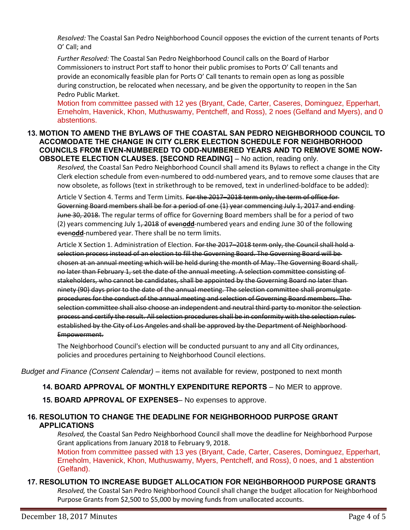*Resolved:* The Coastal San Pedro Neighborhood Council opposes the eviction of the current tenants of Ports O' Call; and

*Further Resolved:* The Coastal San Pedro Neighborhood Council calls on the Board of Harbor Commissioners to instruct Port staff to honor their public promises to Ports O' Call tenants and provide an economically feasible plan for Ports O' Call tenants to remain open as long as possible during construction, be relocated when necessary, and be given the opportunity to reopen in the San Pedro Public Market.

Motion from committee passed with 12 yes (Bryant, Cade, Carter, Caseres, Dominguez, Epperhart, Erneholm, Havenick, Khon, Muthuswamy, Pentcheff, and Ross), 2 noes (Gelfand and Myers), and 0 abstentions.

#### **13. MOTION TO AMEND THE BYLAWS OF THE COASTAL SAN PEDRO NEIGHBORHOOD COUNCIL TO ACCOMODATE THE CHANGE IN CITY CLERK ELECTION SCHEDULE FOR NEIGHBORHOOD COUNCILS FROM EVEN-NUMBERED TO ODD-NUMBERED YEARS AND TO REMOVE SOME NOW-OBSOLETE ELECTION CLAUSES. [SECOND READING]** – No action, reading only.

*Resolved,* the Coastal San Pedro Neighborhood Council shall amend its Bylaws to reflect a change in the City Clerk election schedule from even-numbered to odd-numbered years, and to remove some clauses that are now obsolete, as follows (text in strikethrough to be removed, text in underlined-boldface to be added):

Article V Section 4. Terms and Term Limits. For the 2017–2018 term only, the term of office for Governing Board members shall be for a period of one (1) year commencing July 1, 2017 and ending June 30, 2018. The regular terms of office for Governing Board members shall be for a period of two (2) years commencing July 1, 2018 of even**odd**-numbered years and ending June 30 of the following even**odd**-numbered year. There shall be no term limits.

Article X Section 1. Administration of Election. For the 2017–2018 term only, the Council shall hold a selection process instead of an election to fill the Governing Board. The Governing Board will be chosen at an annual meeting which will be held during the month of May. The Governing Board shall, no later than February 1, set the date of the annual meeting. A selection committee consisting of stakeholders, who cannot be candidates, shall be appointed by the Governing Board no later than ninety (90) days prior to the date of the annual meeting. The selection committee shall promulgate procedures for the conduct of the annual meeting and selection of Governing Board members. The selection committee shall also choose an independent and neutral third party to monitor the selection process and certify the result. All selection procedures shall be in conformity with the selection rules established by the City of Los Angeles and shall be approved by the Department of Neighborhood Empowerment.

The Neighborhood Council's election will be conducted pursuant to any and all City ordinances, policies and procedures pertaining to Neighborhood Council elections.

*Budget and Finance (Consent Calendar)* – items not available for review, postponed to next month

**14. BOARD APPROVAL OF MONTHLY EXPENDITURE REPORTS** – No MER to approve.

**15. BOARD APPROVAL OF EXPENSES**– No expenses to approve.

# **16. RESOLUTION TO CHANGE THE DEADLINE FOR NEIGHBORHOOD PURPOSE GRANT APPLICATIONS**

*Resolved,* the Coastal San Pedro Neighborhood Council shall move the deadline for Neighborhood Purpose Grant applications from January 2018 to February 9, 2018.

Motion from committee passed with 13 yes (Bryant, Cade, Carter, Caseres, Dominguez, Epperhart, Erneholm, Havenick, Khon, Muthuswamy, Myers, Pentcheff, and Ross), 0 noes, and 1 abstention (Gelfand).

# **17. RESOLUTION TO INCREASE BUDGET ALLOCATION FOR NEIGHBORHOOD PURPOSE GRANTS**

*Resolved,* the Coastal San Pedro Neighborhood Council shall change the budget allocation for Neighborhood Purpose Grants from \$2,500 to \$5,000 by moving funds from unallocated accounts.